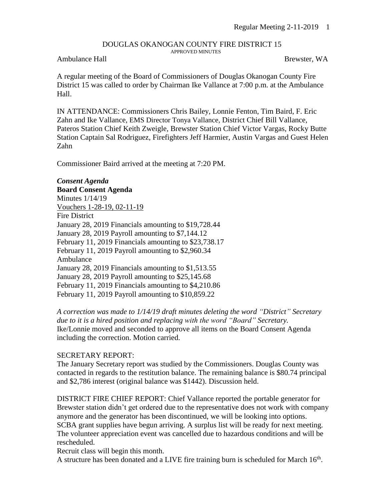## DOUGLAS OKANOGAN COUNTY FIRE DISTRICT 15 APPROVED MINUTES

## Ambulance Hall Brewster, WA

A regular meeting of the Board of Commissioners of Douglas Okanogan County Fire District 15 was called to order by Chairman Ike Vallance at 7:00 p.m. at the Ambulance Hall.

IN ATTENDANCE: Commissioners Chris Bailey, Lonnie Fenton, Tim Baird, F. Eric Zahn and Ike Vallance, EMS Director Tonya Vallance, District Chief Bill Vallance, Pateros Station Chief Keith Zweigle, Brewster Station Chief Victor Vargas, Rocky Butte Station Captain Sal Rodriguez, Firefighters Jeff Harmier, Austin Vargas and Guest Helen Zahn

Commissioner Baird arrived at the meeting at 7:20 PM.

*Consent Agenda* **Board Consent Agenda** Minutes 1/14/19 Vouchers 1-28-19, 02-11-19 Fire District January 28, 2019 Financials amounting to \$19,728.44 January 28, 2019 Payroll amounting to \$7,144.12 February 11, 2019 Financials amounting to \$23,738.17 February 11, 2019 Payroll amounting to \$2,960.34 Ambulance January 28, 2019 Financials amounting to \$1,513.55 January 28, 2019 Payroll amounting to \$25,145.68 February 11, 2019 Financials amounting to \$4,210.86 February 11, 2019 Payroll amounting to \$10,859.22

*A correction was made to 1/14/19 draft minutes deleting the word "District" Secretary due to it is a hired position and replacing with the word "Board" Secretary.* Ike/Lonnie moved and seconded to approve all items on the Board Consent Agenda including the correction. Motion carried.

## SECRETARY REPORT:

The January Secretary report was studied by the Commissioners. Douglas County was contacted in regards to the restitution balance. The remaining balance is \$80.74 principal and \$2,786 interest (original balance was \$1442). Discussion held.

DISTRICT FIRE CHIEF REPORT: Chief Vallance reported the portable generator for Brewster station didn't get ordered due to the representative does not work with company anymore and the generator has been discontinued, we will be looking into options. SCBA grant supplies have begun arriving. A surplus list will be ready for next meeting. The volunteer appreciation event was cancelled due to hazardous conditions and will be rescheduled.

Recruit class will begin this month.

A structure has been donated and a LIVE fire training burn is scheduled for March  $16<sup>th</sup>$ .